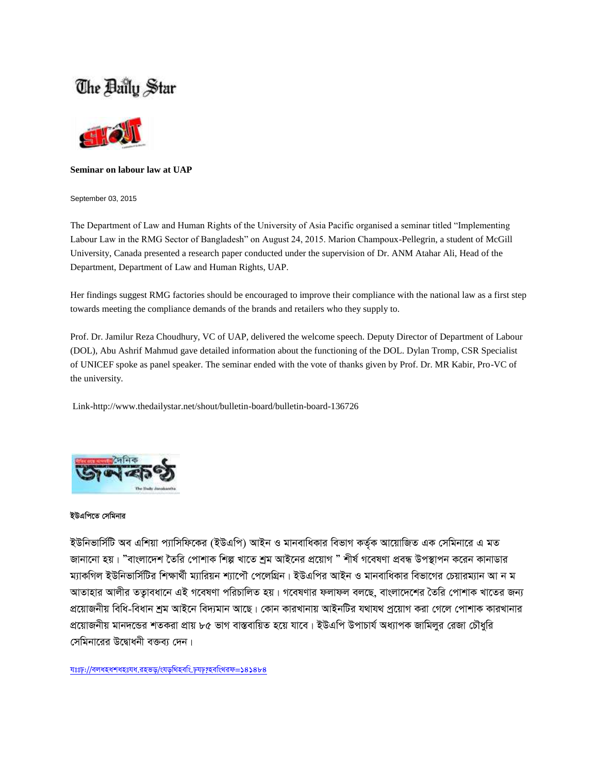## The Baily Star



#### Seminar on labour law at UAP

September 03, 2015

The Department of Law and Human Rights of the University of Asia Pacific organised a seminar titled "Implementing Labour Law in the RMG Sector of Bangladesh" on August 24, 2015. Marion Champoux-Pellegrin, a student of McGill University, Canada presented a research paper conducted under the supervision of Dr. ANM Atahar Ali, Head of the Department, Department of Law and Human Rights, UAP.

Her findings suggest RMG factories should be encouraged to improve their compliance with the national law as a first step towards meeting the compliance demands of the brands and retailers who they supply to.

Prof. Dr. Jamilur Reza Choudhury, VC of UAP, delivered the welcome speech. Deputy Director of Department of Labour (DOL), Abu Ashrif Mahmud gave detailed information about the functioning of the DOL. Dylan Tromp, CSR Specialist of UNICEF spoke as panel speaker. The seminar ended with the vote of thanks given by Prof. Dr. MR Kabir, Pro-VC of the university.

Link-http://www.thedailystar.net/shout/bulletin-board/bulletin-board-136726



#### ইউএপিতে সেমিনার

ইউনিভার্সিটি অব এশিয়া প্যাসিফিকের (ইউএপি) আইন ও মানবাধিকার বিভাগ কর্তৃক আয়োজিত এক সেমিনারে এ মত জানানো হয়। "বাংলাদেশ তৈরি পোশাক শিল্প খাতে শ্রম আইনের প্রয়োগ " শীর্ষ গবেষণা প্রবন্ধ উপস্থাপন করেন কানাডার ম্যাকগিল ইউনিভার্সিটির শিক্ষার্থী ম্যারিয়ন শ্যাপৌ পেলেগ্রিন। ইউএপির আইন ও মানবাধিকার বিভাগের চেয়ারম্যান আ ন ম আতাহার আলীর ততাবধানে এই গবেষণা পরিচালিত হয়। গবেষণার ফলাফল বলছে, বাংলাদেশের তৈরি পোশাক খাতের জন্য প্রয়োজনীয় বিধি-বিধান শ্রম আইনে বিদ্যমান আছে। কোন কারখানায় আইনটির যথাযথ প্রয়োগ করা গেলে পোশাক কারখানার প্রয়োজনীয় মানদন্ডের শতকরা প্রায় ৮৫ ভাগ বাস্তবায়িত হয়ে যাবে। ইউএপি উপাচার্য অধ্যাপক জামিলুর রেজা চৌধুরি সেমিনারের উদ্বোধনী বক্তব্য দেন।

যঃঢ়://বলধহধশধহঃযধ,রহভড/ংযডথিহবং,ঢ়যঢ়?হবংথিরফ=১৪১৪৮৪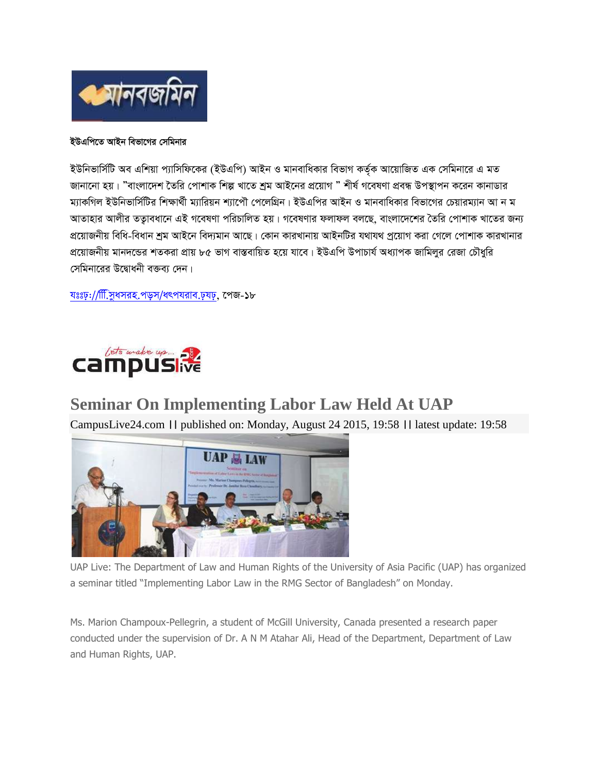

### ইউএপিতে আইন বিভাগের সেমিনার

ইউনিভার্সিটি অব এশিয়া প্যাসিফিকের (ইউএপি) আইন ও মানবাধিকার বিভাগ কর্তৃক আয়োজিত এক সেমিনারে এ মত জানানো হয়। "বাংলাদেশ তৈরি পোশাক শিল্প খাতে শ্রম আইনের প্রয়োগ " শীর্ষ গবেষণা প্রবন্ধ উপস্থাপন করেন কানাডার ম্যাকগিল ইউনিভার্সিটির শিক্ষার্থী ম্যারিয়ন শ্যাপৌ পেলেগ্রিন। ইউএপির আইন ও মানবাধিকার বিভাগের চেয়ারম্যান আ ন ম আতাহার আলীর তত্বাবধানে এই গবেষণা পরিচালিত হয়। গবেষণার ফলাফল বলছে, বাংলাদেশের তৈরি পোশাক খাতের জন্য প্রয়োজনীয় বিধি-বিধান শ্রম আইনে বিদ্যমান আছে। কোন কারখানায় আইনটির যথাযথ প্রয়োগ করা গেলে পোশাক কারখানার প্রয়োজনীয় মানদন্ডের শতকরা প্রায় ৮৫ ভাগ বাস্তবায়িত হয়ে যাবে। ইউএপি উপাচার্য অধ্যাপক জামিলুর রেজা চৌধুরি সেমিনারের উদ্বোধনী বক্তব্য দেন।

যঃঃঢ়://ািী়িসুধসরহ.পড়স/ধৎপযরাব.ঢ়যঢ়, পেজ-১৮



## **Seminar On Implementing Labor Law Held At UAP**

CampusLive24.com | | published on: Monday, August 24 2015, 19:58 | | latest update: 19:58



UAP Live: The Department of Law and Human Rights of the University of Asia Pacific (UAP) has organized a seminar titled "Implementing Labor Law in the RMG Sector of Bangladesh" on Monday.

Ms. Marion Champoux-Pellegrin, a student of McGill University, Canada presented a research paper conducted under the supervision of Dr. A N M Atahar Ali, Head of the Department, Department of Law and Human Rights, UAP.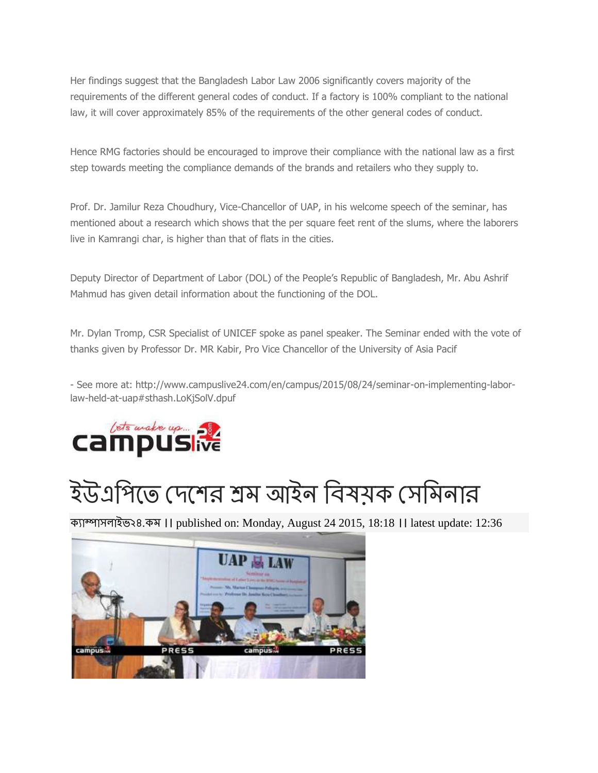Her findings suggest that the Bangladesh Labor Law 2006 significantly covers majority of the requirements of the different general codes of conduct. If a factory is 100% compliant to the national law, it will cover approximately 85% of the requirements of the other general codes of conduct.

Hence RMG factories should be encouraged to improve their compliance with the national law as a first step towards meeting the compliance demands of the brands and retailers who they supply to.

Prof. Dr. Jamilur Reza Choudhury, Vice-Chancellor of UAP, in his welcome speech of the seminar, has mentioned about a research which shows that the per square feet rent of the slums, where the laborers live in Kamrangi char, is higher than that of flats in the cities.

Deputy Director of Department of Labor (DOL) of the People's Republic of Bangladesh, Mr. Abu Ashrif Mahmud has given detail information about the functioning of the DOL.

Mr. Dylan Tromp, CSR Specialist of UNICEF spoke as panel speaker. The Seminar ended with the vote of thanks given by Professor Dr. MR Kabir, Pro Vice Chancellor of the University of Asia Pacif

- See more at: http://www.campuslive24.com/en/campus/2015/08/24/seminar-on-implementing-laborlaw-held-at-uap#sthash.LoKjSolV.dpuf



# ইউএপিতে দেশের শ্রম আইন বিষয়ক সেমিনার

২৪. ।। published on: Monday, August 24 2015, 18:18 ।। latest update: 12:36

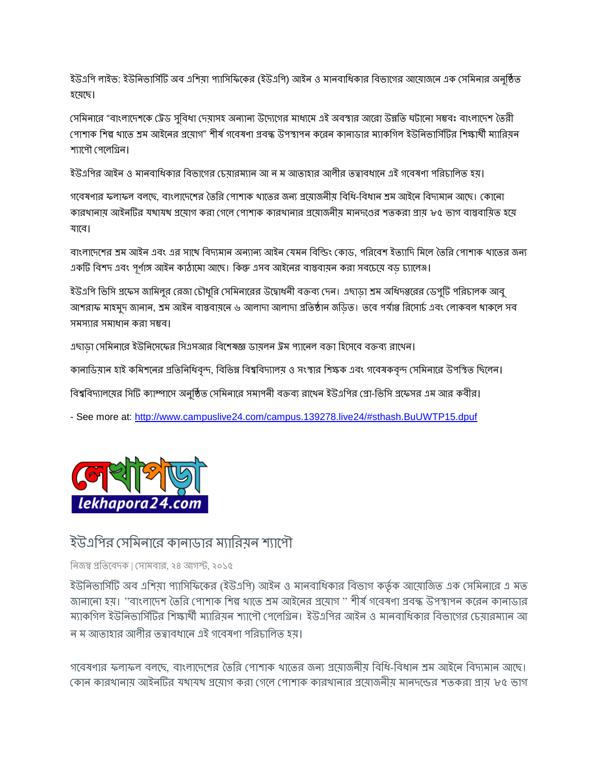ইউএপি লাইভ: ইউনিভার্সিটি অব এশিয়া প্যাসিফিকের (ইউএপি) আইন ও মানবাধিকার বিভাগের আয়োজনে এক সেমিনার অনুষ্ঠিত হযেছে।

সেমিনারে "বাংলাদেশকে ট্রেড সুবিধা দেয়াসহ অন্যান্য উদ্যেগের মাধ্যমে এই অবস্থার আরো উন্নতি ঘটানো সম্ভবঃ বাংলাদেশ তৈরী পোশাক শিল্প থাতে শ্রম আইনের প্রয়োগ" শীর্ষ গবেষণা প্রবন্ধ উপস্থাপন করেন কানাডার ম্যাকগিল ইউনিভার্সিটির শিক্ষার্থী ম্যারিয়ন শ্যাপৌ পেলেগ্রিন।

ইউএপির আইন ও মানবাধিকার বিভাগের চেয়ারম্যান আ ন ম আতাহার আলীর তত্বাবধানে এই গবেষণা পরিচালিত হয়।

গবেষণার ফলাফল বলছে, বাংলাদেশের তৈরি পোশাক থাতের জন্য প্রয়োজনীয় বিধি-বিধান শ্রম আইনে বিদ্যমান আছে। কোনো কারখানাম আইনটির মখামখ প্রমোগ করা গেলে পোশাক কারখানার প্রমোজনীম মানদণ্ডের শতকরা প্রাম ৮৫ তাগ বাস্তবামিত হমে যাবে।

বাংলাদেশের শ্রম আইন এবং এর সাথে বিদ্যমান অন্যান্য আইন যেমন বিল্ডিং কোড. পরিবেশ ইত্যাদি মিলে তৈরি পোশাক থাতের জন্য একটি বিশদ এবং পূর্ণাঙ্গ আইন কাঠামো আছে। কিন্তু এসব আইনের বাস্তবায়ন করা সবচেয়ে বড় চ্যালেঞ্জ।

ইউএপি ভিসি প্রফেস জামিলুর রেজা চৌধুরি সেমিনারের উদ্বোধনী বক্তব্য দেন। এছাডা শ্রম অধিদপ্তরের ডেপুটি পরিচালক আবু আশরাফ মাহমুদ জানান, শ্রম আইন বাস্তবায়নে ৬ আলাদা আলাদা প্রতিষ্ঠান জড়িত। তবে পর্যাপ্ত রিসোর্চ এবং লোকবল থাকলে সব সমস্যার সমাধান করা সম্ভব।

এছাড়া সেমিনারে ইউনিসেফের সিএসআর বিশেষজ্ঞ ডায়লন ট্রম প্যানেল বক্তা হিসেবে বক্তব্য রাথেন।

কানাডিয়ান হাই কমিশনের প্রতিনিধিবৃন্দ, বিভিন্ন বিশ্ববিদ্যালয় ও সংস্থার শিক্ষক এবং গবেষকবৃন্দ সেমিনারে উপস্থিত ছিলেন।

বিশ্ববিদ্যালয়ের সিটি ক্যাম্পাসে অনর্ষিত সেমিনারে সমাপনী বক্তব্য রাখেন ইউএপির প্রো-ভিসি প্রফেসর এম আর কবীর।

- See more at:<http://www.campuslive24.com/campus.139278.live24/#sthash.BuUWTP15.dpuf>



## ইউএপির সেমিনারে কানাডার ম্যারিয়ন শ্যাপৌ

## নিজস্ব প্রতিবেদক। সোমবার, ২৪ আগস্ট, ২০১৫

ইউনিভার্সিটি অব এশিয়া প্যাসিফিকের (ইউএপি) আইন ও মানবাধিকার বিভাগ কর্তৃক আয়োজিত এক সেমিনারে এ মত জানানো হয়। ''বাংলাদেশ তৈরি পোশাক শিল্প থাতে শ্রম আইনের প্রয়োগ '' শীর্ষ গবেষণা প্রবন্ধ উপস্থাপন করেন কানাডার ম্যাকগিল ইউনিভার্সিটির শিক্ষার্থী ম্যারিয়ন শ্যাপৌ পেলেগ্রিন। ইউএপির আইন ও মানবাধিকার বিভাগের চেয়ারম্যান আ ন ম আতাহার আলীর তত্বাবধানে এই গবেষণা পরিচালিত হয়**।** 

গবেষণার ফলাফল বলছে, বাংলাদেশের তৈরি পোশাক থাতের জন্য প্রযোজনীয় বিধি-বিধান শ্রম আইনে বিদ্যমান আছে। কোন কারখানায় আইনটির যখাযখ প্রয়োগ করা গেলে পোশাক কারখানার প্রয়োজনীয় মানদন্ডের শতকরা প্রায় ৮৫ ভাগ